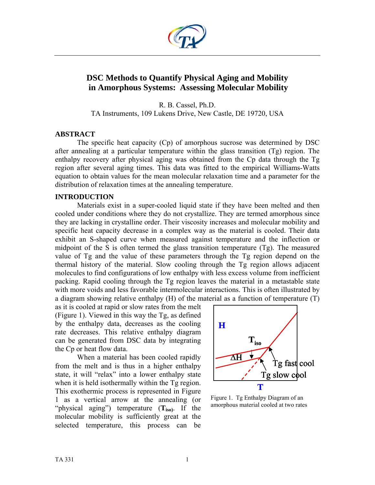

# **DSC Methods to Quantify Physical Aging and Mobility in Amorphous Systems: Assessing Molecular Mobility**

R. B. Cassel, Ph.D. TA Instruments, 109 Lukens Drive, New Castle, DE 19720, USA

### **ABSTRACT**

The specific heat capacity (Cp) of amorphous sucrose was determined by DSC after annealing at a particular temperature within the glass transition (Tg) region. The enthalpy recovery after physical aging was obtained from the Cp data through the Tg region after several aging times. This data was fitted to the empirical Williams-Watts equation to obtain values for the mean molecular relaxation time and a parameter for the distribution of relaxation times at the annealing temperature.

# **INTRODUCTION**

Materials exist in a super-cooled liquid state if they have been melted and then cooled under conditions where they do not crystallize. They are termed amorphous since they are lacking in crystalline order. Their viscosity increases and molecular mobility and specific heat capacity decrease in a complex way as the material is cooled. Their data exhibit an S-shaped curve when measured against temperature and the inflection or midpoint of the S is often termed the glass transition temperature (Tg). The measured value of Tg and the value of these parameters through the Tg region depend on the thermal history of the material. Slow cooling through the Tg region allows adjacent molecules to find configurations of low enthalpy with less excess volume from inefficient packing. Rapid cooling through the Tg region leaves the material in a metastable state with more voids and less favorable intermolecular interactions. This is often illustrated by a diagram showing relative enthalpy (H) of the material as a function of temperature (T)

as it is cooled at rapid or slow rates from the melt (Figure 1). Viewed in this way the Tg, as defined by the enthalpy data, decreases as the cooling rate decreases. This relative enthalpy diagram can be generated from DSC data by integrating the Cp or heat flow data.

When a material has been cooled rapidly from the melt and is thus in a higher enthalpy state, it will "relax" into a lower enthalpy state when it is held isothermally within the Tg region. This exothermic process is represented in Figure 1 as a vertical arrow at the annealing (or "physical aging") temperature (**Tiso)**. If the molecular mobility is sufficiently great at the selected temperature, this process can be



Figure 1. Tg Enthalpy Diagram of an amorphous material cooled at two rates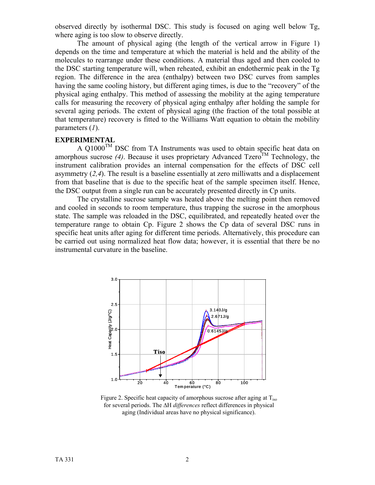observed directly by isothermal DSC. This study is focused on aging well below Tg, where aging is too slow to observe directly.

The amount of physical aging (the length of the vertical arrow in Figure 1) depends on the time and temperature at which the material is held and the ability of the molecules to rearrange under these conditions. A material thus aged and then cooled to the DSC starting temperature will, when reheated, exhibit an endothermic peak in the Tg region. The difference in the area (enthalpy) between two DSC curves from samples having the same cooling history, but different aging times, is due to the "recovery" of the physical aging enthalpy. This method of assessing the mobility at the aging temperature calls for measuring the recovery of physical aging enthalpy after holding the sample for several aging periods. The extent of physical aging (the fraction of the total possible at that temperature) recovery is fitted to the Williams Watt equation to obtain the mobility parameters (*1*).

### **EXPERIMENTAL**

A  $Q1000^{TM}$  DSC from TA Instruments was used to obtain specific heat data on amorphous sucrose  $(4)$ . Because it uses proprietary Advanced Tzero<sup>TM</sup> Technology, the instrument calibration provides an internal compensation for the effects of DSC cell asymmetry (*2,4*). The result is a baseline essentially at zero milliwatts and a displacement from that baseline that is due to the specific heat of the sample specimen itself. Hence, the DSC output from a single run can be accurately presented directly in Cp units.

The crystalline sucrose sample was heated above the melting point then removed and cooled in seconds to room temperature, thus trapping the sucrose in the amorphous state. The sample was reloaded in the DSC, equilibrated, and repeatedly heated over the temperature range to obtain Cp. Figure 2 shows the Cp data of several DSC runs in specific heat units after aging for different time periods. Alternatively, this procedure can be carried out using normalized heat flow data; however, it is essential that there be no instrumental curvature in the baseline.



Figure 2. Specific heat capacity of amorphous sucrose after aging at  $T_{iso}$ for several periods. The ΔH *differences* reflect differences in physical aging (Individual areas have no physical significance).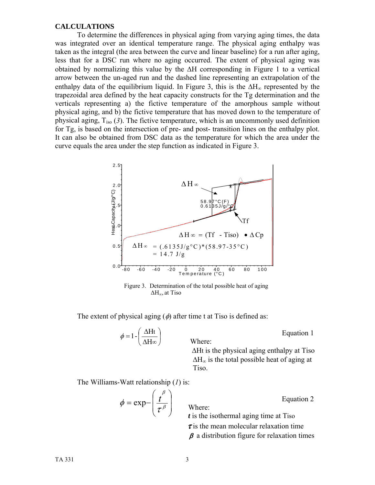#### **CALCULATIONS**

To determine the differences in physical aging from varying aging times, the data was integrated over an identical temperature range. The physical aging enthalpy was taken as the integral (the area between the curve and linear baseline) for a run after aging, less that for a DSC run where no aging occurred. The extent of physical aging was obtained by normalizing this value by the ΔH corresponding in Figure 1 to a vertical arrow between the un-aged run and the dashed line representing an extrapolation of the enthalpy data of the equilibrium liquid. In Figure 3, this is the  $\Delta H_{\infty}$  represented by the trapezoidal area defined by the heat capacity constructs for the Tg determination and the verticals representing a) the fictive temperature of the amorphous sample without physical aging, and b) the fictive temperature that has moved down to the temperature of physical aging, Tiso (*3*). The fictive temperature, which is an uncommonly used definition for Tg, is based on the intersection of pre- and post- transition lines on the enthalpy plot. It can also be obtained from DSC data as the temperature for which the area under the curve equals the area under the step function as indicated in Figure 3.



 Figure 3. Determination of the total possible heat of aging ΔH∞, at Tiso

Where:

The extent of physical aging  $(\phi)$  after time t at Tiso is defined as:

$$
\phi = 1 - \left(\frac{\Delta Ht}{\Delta H\infty}\right)
$$
   
Where:   
   
   
   
   
   
   
   
   
 Equation 1

ΔHt is the physical aging enthalpy at Tiso  $\Delta H_{\infty}$  is the total possible heat of aging at Tiso.

The Williams-Watt relationship (*1*) is:

$$
\phi = \exp\left(\frac{t^{\beta}}{\tau^{\beta}}\right)
$$
 Where:  
 *t* is the isothermal aging time at Tiso

 Where: *t* is the isothermal aging time at Tiso  $\tau$  is the mean molecular relaxation time  $\beta$  a distribution figure for relaxation times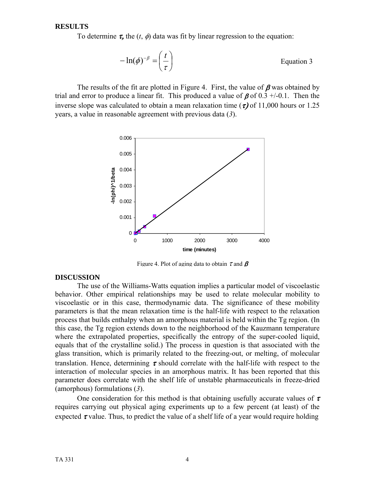#### **RESULTS**

To determine  $\tau$ , the  $(t, \phi)$  data was fit by linear regression to the equation:

$$
-\ln(\phi)^{-\beta} = \left(\frac{t}{\tau}\right)
$$
 Equation 3

The results of the fit are plotted in Figure 4. First, the value of  $\beta$  was obtained by trial and error to produce a linear fit. This produced a value of  $\beta$  of 0.3 +/-0.1. Then the inverse slope was calculated to obtain a mean relaxation time ( $\tau$ ) of 11,000 hours or 1.25 years, a value in reasonable agreement with previous data (*3*).



Figure 4. Plot of aging data to obtain  $\tau$  and  $\beta$ 

### **DISCUSSION**

The use of the Williams-Watts equation implies a particular model of viscoelastic behavior. Other empirical relationships may be used to relate molecular mobility to viscoelastic or in this case, thermodynamic data. The significance of these mobility parameters is that the mean relaxation time is the half-life with respect to the relaxation process that builds enthalpy when an amorphous material is held within the Tg region. (In this case, the Tg region extends down to the neighborhood of the Kauzmann temperature where the extrapolated properties, specifically the entropy of the super-cooled liquid, equals that of the crystalline solid.) The process in question is that associated with the glass transition, which is primarily related to the freezing-out, or melting, of molecular translation. Hence, determining  $\tau$  should correlate with the half-life with respect to the interaction of molecular species in an amorphous matrix. It has been reported that this parameter does correlate with the shelf life of unstable pharmaceuticals in freeze-dried (amorphous) formulations (*3*).

One consideration for this method is that obtaining usefully accurate values of  $\tau$ requires carrying out physical aging experiments up to a few percent (at least) of the expected  $\tau$  value. Thus, to predict the value of a shelf life of a year would require holding